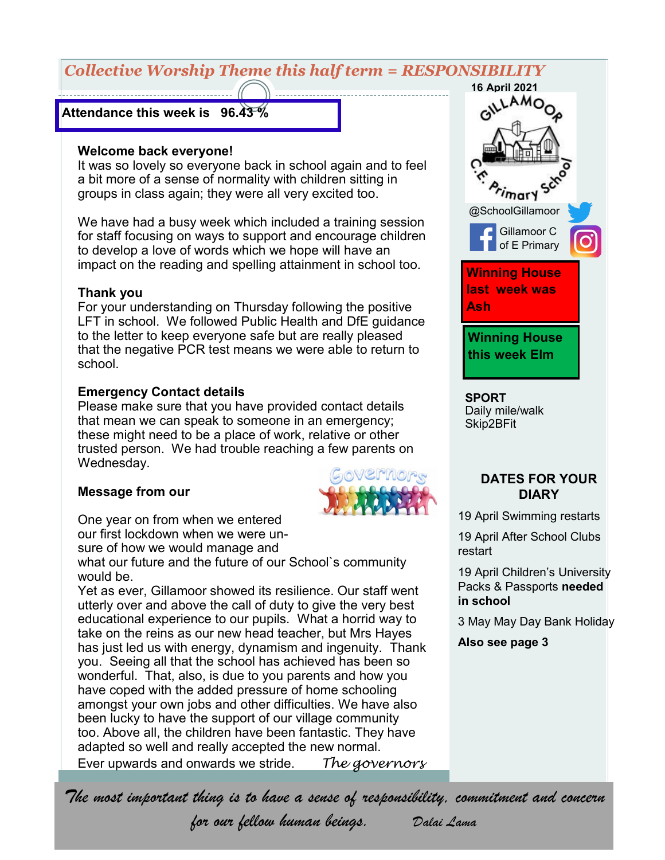# *Collective Worship Theme this half term = RESPONSIBILITY*

#### **Attendance this week is 96.43 %**

#### **Welcome back everyone!**

It was so lovely so everyone back in school again and to feel a bit more of a sense of normality with children sitting in groups in class again; they were all very excited too.

We have had a busy week which included a training session for staff focusing on ways to support and encourage children to develop a love of words which we hope will have an impact on the reading and spelling attainment in school too.

#### **Thank you**

For your understanding on Thursday following the positive LFT in school. We followed Public Health and DfE guidance to the letter to keep everyone safe but are really pleased that the negative PCR test means we were able to return to school.

#### **Emergency Contact details**

Please make sure that you have provided contact details that mean we can speak to someone in an emergency; these might need to be a place of work, relative or other trusted person. We had trouble reaching a few parents on Wednesday.

#### **Message from our**



sure of how we would manage and

what our future and the future of our School's community would be.

Yet as ever, Gillamoor showed its resilience. Our staff went utterly over and above the call of duty to give the very best educational experience to our pupils. What a horrid way to take on the reins as our new head teacher, but Mrs Hayes has just led us with energy, dynamism and ingenuity. Thank you. Seeing all that the school has achieved has been so wonderful. That, also, is due to you parents and how you have coped with the added pressure of home schooling amongst your own jobs and other difficulties. We have also been lucky to have the support of our village community too. Above all, the children have been fantastic. They have adapted so well and really accepted the new normal. Ever upwards and onwards we stride. *The governors*



**SPORT** Daily mile/walk Skip2BFit

#### **DATES FOR YOUR DIARY**

19 April Swimming restarts

19 April After School Clubs restart

19 April Children's University Packs & Passports **needed in school**

3 May May Day Bank Holiday

**Also see page 3**

*The most important thing is to have a sense of responsibility, commitment and concern* 

*for our fellow human beings. Dalai Lama*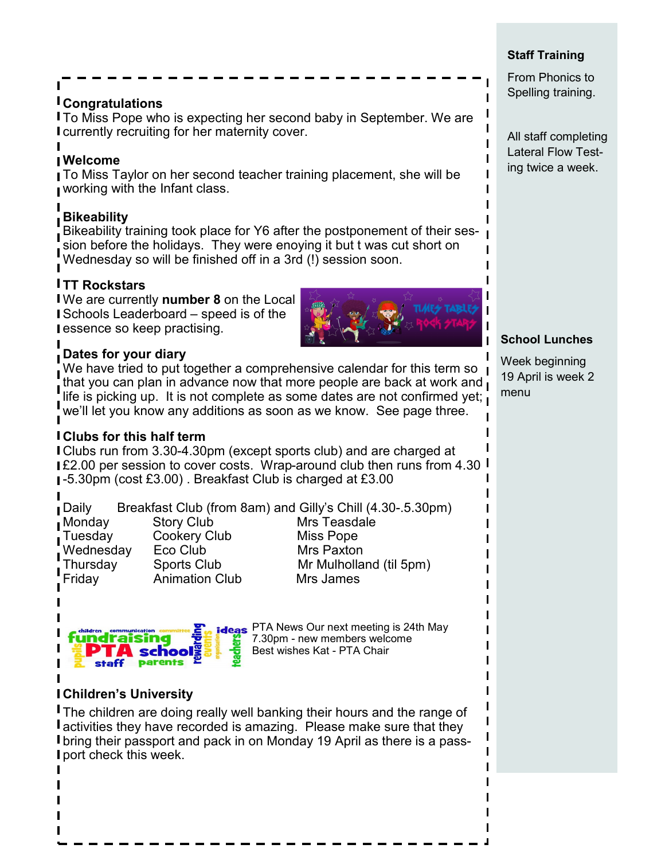# **Congratulations**

To Miss Pope who is expecting her second baby in September. We are currently recruiting for her maternity cover.

# **Welcome**

To Miss Taylor on her second teacher training placement, she will be working with the Infant class.

# **Bikeability**

Bikeability training took place for Y6 after the postponement of their session before the holidays. They were enoying it but t was cut short on Wednesday so will be finished off in a 3rd (!) session soon.

# **TT Rockstars**

We are currently **number 8** on the Local Schools Leaderboard – speed is of the essence so keep practising.

#### **Dates for your diary**

We have tried to put together a comprehensive calendar for this term so  $\overline{\phantom{a}}$ that you can plan in advance now that more people are back at work and life is picking up. It is not complete as some dates are not confirmed yet; we'll let you know any additions as soon as we know. See page three.

### **Clubs for this half term**

Clubs run from 3.30-4.30pm (except sports club) and are charged at **IE2.00 per session to cover costs. Wrap-around club then runs from 4.30** -5.30pm (cost £3.00) . Breakfast Club is charged at £3.00

| Daily     |                       | Breakfast Club (from 8am) and Gilly's Chill (4.30-.5.30pm) |
|-----------|-----------------------|------------------------------------------------------------|
| Monday    | <b>Story Club</b>     | Mrs Teasdale                                               |
| Tuesday   | <b>Cookery Club</b>   | Miss Pope                                                  |
| Wednesday | Eco Club              | <b>Mrs Paxton</b>                                          |
| Thursday  | <b>Sports Club</b>    | Mr Mulholland (til 5pm)                                    |
| Friday    | <b>Animation Club</b> | Mrs James                                                  |



**ideas** PTA News Our next meeting is 24th May 7.30pm - new members welcome Best wishes Kat - PTA Chair

# **Children's University**

**The children are doing really well banking their hours and the range of** activities they have recorded is amazing. Please make sure that they bring their passport and pack in on Monday 19 April as there is a pass-**I** port check this week.

#### **Staff Training**

From Phonics to Spelling training.

All staff completing Lateral Flow Testing twice a week.

### **School Lunches**

Week beginning 19 April is week 2 menu